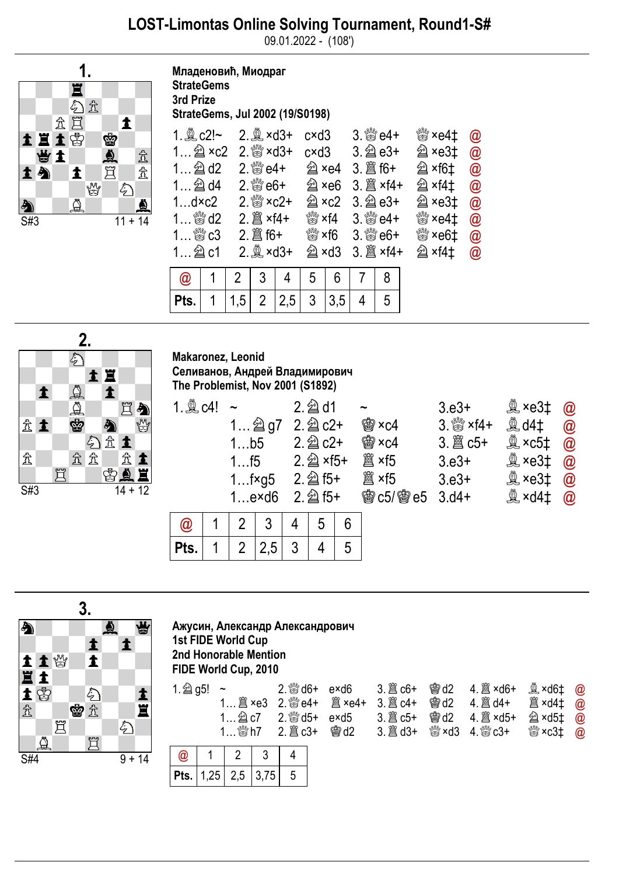09.01.2022 - (108')



Младеновић, Миодраг **StrateGems** 3rd Prize StrateGems, Jul 2002 (19/S0198)

|                                              |  |                | $2.2$ ×d3+                 |                |                          |                          | $c \times d3$ 3. $80 + 4 +$                     |   | ▓ ×e4‡                    | $\circledR$ |
|----------------------------------------------|--|----------------|----------------------------|----------------|--------------------------|--------------------------|-------------------------------------------------|---|---------------------------|-------------|
| $1$ $2 \times 2$                             |  |                | $2.$ $\frac{80}{20}$ × d3+ |                | c×d3                     |                          |                                                 |   | $\hat{\mathbb{Z}}$ ×e3‡   | $\circleda$ |
| $1$ $2d$ d2                                  |  |                |                            | 2. ﷺ e4+       | U ×e4                    |                          |                                                 |   | 2 ×f6‡                    | $\circledR$ |
|                                              |  |                |                            | $2.$ $8\%$ e6+ | $\hat{\mathfrak{A}}$ ×e6 |                          |                                                 |   | 2 ×f4‡                    | $\circleda$ |
| $1$ d×c $2$                                  |  |                | $2.88 \times 2 +$          |                |                          | $\hat{\mathfrak{A}}$ ×c2 |                                                 |   | $\hat{\mathfrak{D}}$ ×e3‡ | $\circledR$ |
| 1 $\mathbb{S}$ d2<br>$2.$ $\hat{\Xi}$ ×f4+   |  |                |                            |                |                          |                          | $\frac{100}{100}$ xf4 3. $\frac{100}{100}$ e4+  |   | ▓ ×e4‡                    | $\circleda$ |
| $1$ $\overset{\text{\tiny{60}}}{\otimes} c3$ |  |                | $2.$ $\hat{\Xi}$ f6+       |                |                          |                          | $\frac{100}{100}$ × f6 3. $\frac{100}{100}$ e6+ |   | ₩×e6‡                     | $\circledR$ |
| $1$ $2$ c1                                   |  |                | $2.2$ ×d3+                 |                | 쉘 ×d3                    |                          |                                                 |   | <b>U</b> ×f4‡             | $\circleda$ |
| $\bm{\varpi}$                                |  | 2 <sup>1</sup> | 3                          | 4              | 5                        | 6                        | $7\phantom{.}$                                  | 8 |                           |             |
| <b>Pts.</b>   1   1,5   2   2,5   3   3,5    |  |                |                            |                |                          |                          | $\overline{4}$                                  | 5 |                           |             |



## Makaronez, Leonid Селиванов, Андрей Владимирович The Problemist, Nov 2001 (S1892)

| 1. <u>奠</u> c4!        | 1b5<br>$1$ f5  | $1 \nsubseteq g7$<br>$1$ f $\times$ g5<br>1exd6 |   | $2.\n  2$ d1<br>$2.\n  2$ c2+<br>$2.\n  2$ c2+<br>2. 2 × f5+<br>$2.\ncircled{2}$ f5+<br>$2.\ncircled{2}$ f5+ |   | $\tilde{\phantom{a}}$<br><b>幽×c4</b><br><b>幽×c4</b><br>闔 ×f5<br>闔 ×f5<br><b>@c5/@e5 3.d4+</b> | $3. e3+$<br>$3.88 \times 14 +$<br>$3. e3+$<br>$3. e3+$ | $\mathbb{R}$ ×e3‡<br>$$$ d4‡<br>$\mathbb{R}$ ×c5‡<br>$\mathbb{R}$ ×e3‡<br>$\overset{\circledR}{\sim}$ ×e3‡<br>$\overset{\circledR}{\cong}$ ×d4‡ | $\bm{\varpi}$<br>$\circledR$<br>$\bm{\varpi}$<br>$\bm{\varpi}$<br>$\bm{\varpi}$<br>$\bm{\varpi}$ |
|------------------------|----------------|-------------------------------------------------|---|--------------------------------------------------------------------------------------------------------------|---|-----------------------------------------------------------------------------------------------|--------------------------------------------------------|-------------------------------------------------------------------------------------------------------------------------------------------------|--------------------------------------------------------------------------------------------------|
| $\bm{\textcircled{a}}$ | 2              |                                                 | 4 | 5                                                                                                            | 6 |                                                                                               |                                                        |                                                                                                                                                 |                                                                                                  |
| Pts.                   | $\overline{2}$ | 2,5                                             | 3 |                                                                                                              | 5 |                                                                                               |                                                        |                                                                                                                                                 |                                                                                                  |

|     |     | 3. |    |   |                  |          |
|-----|-----|----|----|---|------------------|----------|
| à   |     |    |    | ≜ |                  | ä        |
|     |     |    | 主土 |   | $\blacktriangle$ |          |
|     | 主主省 |    |    |   |                  |          |
|     |     |    |    |   |                  |          |
|     |     |    |    |   |                  |          |
|     |     | Ś  | 公立 |   |                  | 土耳       |
|     | 買   |    |    |   | E                |          |
|     |     |    | 買  |   |                  |          |
| S#4 |     |    |    |   |                  | $9 + 14$ |

## Ажусин, Александр Александрович 1st FIDE World Cup 2nd Honorable Mention FIDE World Cup, 2010

| 1. 2 g5! |      | $\tilde{}$<br>1 $\mathbb{S}$ h7 |      | $2.$ $\%$ d5+ | $2.$ $\frac{800}{60}$ d6+ $exd6$<br><b>闔 ×e4+</b><br>exd5<br>曾d2 |  | <b>幽d2</b><br><b>鬱d2</b><br><b>魯d2</b><br><sup>ଐଞ</sup> ×d3 | 4. 2 × d5+<br>4. ₩ c3+ | 奠 ×d6‡<br><b>②×d5‡</b><br>ﷺ ×c3‡ | $\bm{\varpi}$<br>@<br>$\bm{\varpi}$ |
|----------|------|---------------------------------|------|---------------|------------------------------------------------------------------|--|-------------------------------------------------------------|------------------------|----------------------------------|-------------------------------------|
| @        |      |                                 |      |               |                                                                  |  |                                                             |                        |                                  |                                     |
| Pts.     | 1,25 | 2,5                             | 3,75 | 5             |                                                                  |  |                                                             |                        |                                  |                                     |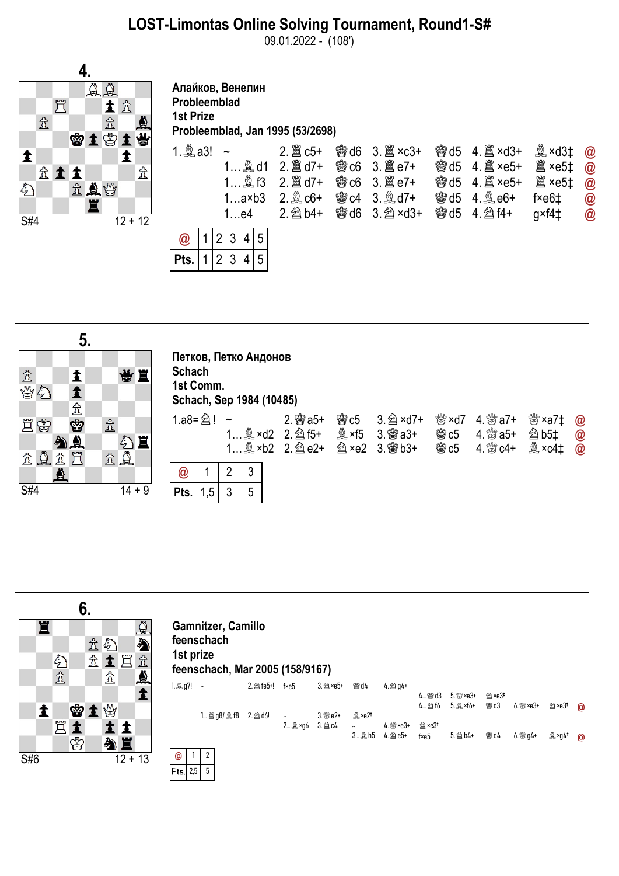09.01.2022 - (108')



Алайков, Венелин Probleemblad 1st Prize Probleemblad, Jan 1995 (53/2698)





## Петков, Петко Андонов **Schach** 1st Comm. Schach, Sep 1984 (10485)

| 1.a8= $\hat{2}$ ! ~ |  |  | $2.$ 窗 a5+<br>1 $\&$ ×d2 2. $\&$ f5+<br>1 1. 2 × b2 2. 2 e2+ 2 × e2 3. 窗 b3+ | <b>@c5</b> 3. 2 ×d7+ | <b>鬱c5</b><br><b>鬱c5</b> | ▓ ×d7 4. ▒ a7+<br>4. ▒ a5+<br>4. ▒ c4+ | <sup>ঋ‰</sup> ×a7‡ @<br><b>② b5‡</b><br><b>凰 ×c4‡</b> | $\circleda$<br>$\bm{\varpi}$ |
|---------------------|--|--|------------------------------------------------------------------------------|----------------------|--------------------------|----------------------------------------|-------------------------------------------------------|------------------------------|
| $\circleda$         |  |  |                                                                              |                      |                          |                                        |                                                       |                              |
| $ $ Pts. $  1, 5  $ |  |  |                                                                              |                      |                          |                                        |                                                       |                              |



| 1st prize | <b>Gamnitzer, Camillo</b><br>feenschach<br>feenschach, Mar 2005 (158/9167) |            |                      |                      |            |           |          |            |       |
|-----------|----------------------------------------------------------------------------|------------|----------------------|----------------------|------------|-----------|----------|------------|-------|
| 1.奧 q7! ~ |                                                                            | 2. 2 fe5+! | $f \times e5$        | 3. 21 ×e5+           | <b>會d4</b> | $4.2904+$ |          |            |       |
|           |                                                                            |            |                      |                      |            |           | 4… 窗 d3  | 5. 臠 ×e3+  | 剑 ×e3 |
|           |                                                                            |            |                      |                      |            |           | $4.2$ 16 | $5.2$ ×f6+ | 雷d3   |
|           | 1 簋 g8/ 奠 f8 2. @ d6! ~                                                    |            |                      | 3. 臠 e2+             | 鱼 ×e2‡     |           |          |            |       |
|           |                                                                            |            | $\sim$ $\sim$ $\sim$ | $\sim$ $\sim$ $\sim$ |            |           |          |            |       |



ര

൹